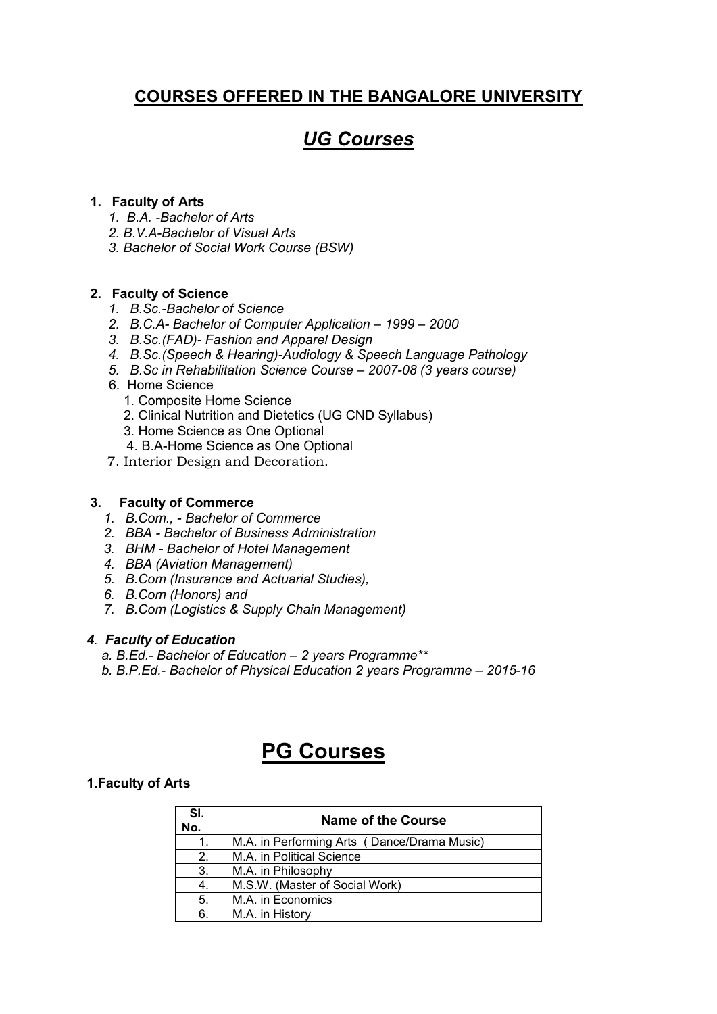## COURSES OFFERED IN THE BANGALORE UNIVERSITY

## *UG Courses*

### 1. Faculty of Arts

- *1. B.A. -Bachelor of Arts*
- *2. B.V.A-Bachelor of Visual Arts*
- *3. Bachelor of Social Work Course (BSW)*

#### 2. Faculty of Science

- *1. B.Sc.-Bachelor of Science*
- *2. B.C.A- Bachelor of Computer Application – 1999 – 2000*
- *3. B.Sc.(FAD)- Fashion and Apparel Design*
- *4. B.Sc.(Speech & Hearing)-Audiology & Speech Language Pathology*
- *5. B.Sc in Rehabilitation Science Course – 2007-08 (3 years course)*
- 6. Home Science
	- 1. Composite Home Science
	- 2. Clinical Nutrition and Dietetics (UG CND Syllabus)
	- 3. Home Science as One Optional
	- 4. B.A-Home Science as One Optional
- 7. Interior Design and Decoration.

#### 3.Faculty of Commerce

- *1. B.Com., - Bachelor of Commerce*
- *2. BBA - Bachelor of Business Administration*
- *3. BHM - Bachelor of Hotel Management*
- *4. BBA (Aviation Management)*
- *5. B.Com (Insurance and Actuarial Studies),*
- *6. B.Com (Honors) and*
- *7. B.Com (Logistics & Supply Chain Management)*

#### *4. Faculty of Education*

- *a. B.Ed.- Bachelor of Education – 2 years Programme\*\**
- *b. B.P.Ed.- Bachelor of Physical Education 2 years Programme – 2015-16*

## PG Courses

#### 1.Faculty of Arts

| SI.<br>No. | <b>Name of the Course</b>                   |
|------------|---------------------------------------------|
|            | M.A. in Performing Arts (Dance/Drama Music) |
| 2.         | M.A. in Political Science                   |
| 3.         | M.A. in Philosophy                          |
| 4.         | M.S.W. (Master of Social Work)              |
| 5.         | M.A. in Economics                           |
| 6.         | M.A. in History                             |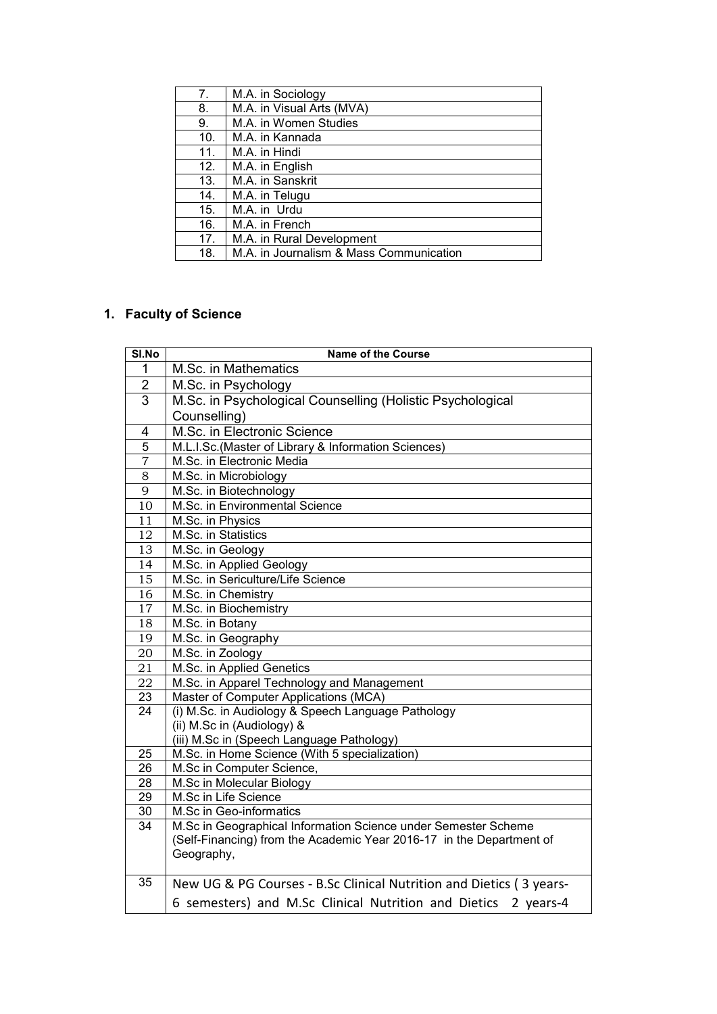| 7 <sub>1</sub> | M.A. in Sociology                       |
|----------------|-----------------------------------------|
| 8.             | M.A. in Visual Arts (MVA)               |
| 9.             | M.A. in Women Studies                   |
| 10.            | M.A. in Kannada                         |
| 11.            | M.A. in Hindi                           |
| 12.            | M.A. in English                         |
| 13.            | M.A. in Sanskrit                        |
| 14.            | M.A. in Telugu                          |
| 15.            | M.A. in Urdu                            |
| 16.            | M.A. in French                          |
| 17.            | M.A. in Rural Development               |
| 18.            | M.A. in Journalism & Mass Communication |

## 1. Faculty of Science

| SI.No           | <b>Name of the Course</b>                                            |  |  |
|-----------------|----------------------------------------------------------------------|--|--|
| 1               | M.Sc. in Mathematics                                                 |  |  |
| $\mathbf 2$     | M.Sc. in Psychology                                                  |  |  |
| $\overline{3}$  | M.Sc. in Psychological Counselling (Holistic Psychological           |  |  |
|                 | Counselling)                                                         |  |  |
| 4               | M.Sc. in Electronic Science                                          |  |  |
| $\overline{5}$  | M.L.I.Sc.(Master of Library & Information Sciences)                  |  |  |
| $\overline{7}$  | M.Sc. in Electronic Media                                            |  |  |
| 8               | M.Sc. in Microbiology                                                |  |  |
| $\overline{9}$  | M.Sc. in Biotechnology                                               |  |  |
| 10              | M.Sc. in Environmental Science                                       |  |  |
| 11              | M.Sc. in Physics                                                     |  |  |
| 12              | M.Sc. in Statistics                                                  |  |  |
| 13              | M.Sc. in Geology                                                     |  |  |
| 14              | M.Sc. in Applied Geology                                             |  |  |
| 15              | M.Sc. in Sericulture/Life Science                                    |  |  |
| $\overline{16}$ | M.Sc. in Chemistry                                                   |  |  |
| 17              | M.Sc. in Biochemistry                                                |  |  |
| 18              | M.Sc. in Botany                                                      |  |  |
| 19              | M.Sc. in Geography                                                   |  |  |
| 20              | M.Sc. in Zoology                                                     |  |  |
| 21              | M.Sc. in Applied Genetics                                            |  |  |
| $\overline{22}$ | M.Sc. in Apparel Technology and Management                           |  |  |
| 23              | Master of Computer Applications (MCA)                                |  |  |
| 24              | (i) M.Sc. in Audiology & Speech Language Pathology                   |  |  |
|                 | (ii) M.Sc in (Audiology) &                                           |  |  |
|                 | (iii) M.Sc in (Speech Language Pathology)                            |  |  |
| 25              | M.Sc. in Home Science (With 5 specialization)                        |  |  |
| 26              | M.Sc in Computer Science,                                            |  |  |
| $\overline{28}$ | M.Sc in Molecular Biology                                            |  |  |
| 29              | M.Sc in Life Science                                                 |  |  |
| $\overline{30}$ | M.Sc in Geo-informatics                                              |  |  |
| 34              | M.Sc in Geographical Information Science under Semester Scheme       |  |  |
|                 | (Self-Financing) from the Academic Year 2016-17 in the Department of |  |  |
|                 | Geography,                                                           |  |  |
| 35              | New UG & PG Courses - B.Sc Clinical Nutrition and Dietics (3 years-  |  |  |
|                 | 6 semesters) and M.Sc Clinical Nutrition and Dietics 2 years-4       |  |  |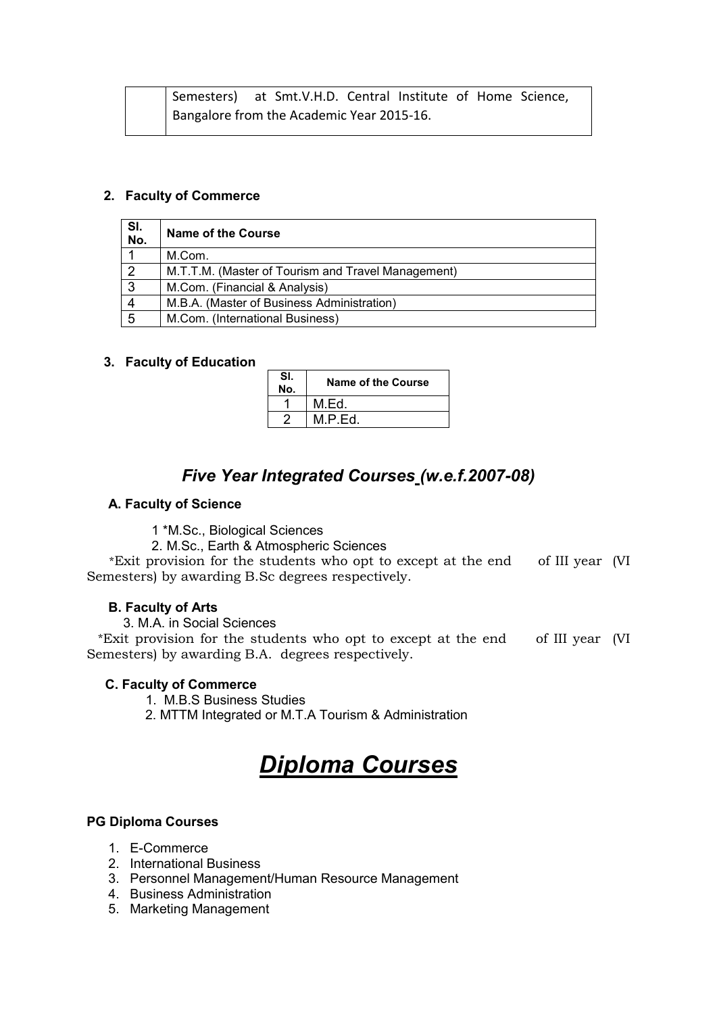|  | Semesters) at Smt.V.H.D. Central Institute of Home Science, |  |  |  |
|--|-------------------------------------------------------------|--|--|--|
|  | Bangalore from the Academic Year 2015-16.                   |  |  |  |

#### 2. Faculty of Commerce

| SI.<br>No. | <b>Name of the Course</b>                          |
|------------|----------------------------------------------------|
|            | M.Com.                                             |
| ာ          | M.T.T.M. (Master of Tourism and Travel Management) |
| 3          | M.Com. (Financial & Analysis)                      |
|            | M.B.A. (Master of Business Administration)         |
| 5          | M.Com. (International Business)                    |

#### 3. Faculty of Education

| SI.<br>No. | Name of the Course |
|------------|--------------------|
|            | M.Ed.              |
| n          | M.P.Ed.            |

## *Five Year Integrated Courses (w.e.f.2007-08)*

#### A. Faculty of Science

1 \*M.Sc., Biological Sciences

2. M.Sc., Earth & Atmospheric Sciences

 \*Exit provision for the students who opt to except at the end of III year (VI Semesters) by awarding B.Sc degrees respectively.

#### B. Faculty of Arts

3. M.A. in Social Sciences

 \*Exit provision for the students who opt to except at the end of III year (VI Semesters) by awarding B.A. degrees respectively.

#### C. Faculty of Commerce

1. M.B.S Business Studies

2. MTTM Integrated or M.T.A Tourism & Administration

# *Diploma Courses*

#### PG Diploma Courses

- 1. E-Commerce
- 2. International Business
- 3. Personnel Management/Human Resource Management
- 4. Business Administration
- 5. Marketing Management